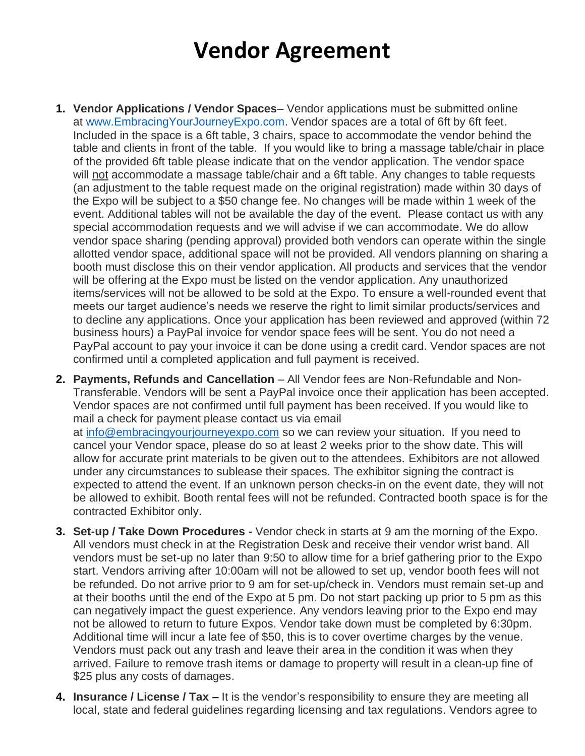## **Vendor Agreement**

- **1. Vendor Applications / Vendor Spaces** Vendor applications must be submitted online at [www.EmbracingYourJourneyExpo.com.](http://weebly-link/939243505930878073) Vendor spaces are a total of 6ft by 6ft feet. Included in the space is a 6ft table, 3 chairs, space to accommodate the vendor behind the table and clients in front of the table. If you would like to bring a massage table/chair in place of the provided 6ft table please indicate that on the vendor application. The vendor space will not accommodate a massage table/chair and a 6ft table. Any changes to table requests (an adjustment to the table request made on the original registration) made within 30 days of the Expo will be subject to a \$50 change fee. No changes will be made within 1 week of the event. Additional tables will not be available the day of the event. Please contact us with any special accommodation requests and we will advise if we can accommodate. We do allow vendor space sharing (pending approval) provided both vendors can operate within the single allotted vendor space, additional space will not be provided. All vendors planning on sharing a booth must disclose this on their vendor application. All products and services that the vendor will be offering at the Expo must be listed on the vendor application. Any unauthorized items/services will not be allowed to be sold at the Expo. To ensure a well-rounded event that meets our target audience's needs we reserve the right to limit similar products/services and to decline any applications. Once your application has been reviewed and approved (within 72 business hours) a PayPal invoice for vendor space fees will be sent. You do not need a PayPal account to pay your invoice it can be done using a credit card. Vendor spaces are not confirmed until a completed application and full payment is received.
- **2. Payments, Refunds and Cancellation** All Vendor fees are Non-Refundable and Non-Transferable. Vendors will be sent a PayPal invoice once their application has been accepted. Vendor spaces are not confirmed until full payment has been received. If you would like to mail a check for payment please contact us via email at [info@embracingyourjourneyexpo.com](mailto:info@embracingyourjourneyexpo.com) so we can review your situation. If you need to cancel your Vendor space, please do so at least 2 weeks prior to the show date. This will

allow for accurate print materials to be given out to the attendees. Exhibitors are not allowed under any circumstances to sublease their spaces. The exhibitor signing the contract is expected to attend the event. If an unknown person checks-in on the event date, they will not be allowed to exhibit. Booth rental fees will not be refunded. Contracted booth space is for the contracted Exhibitor only.

- **3. Set-up / Take Down Procedures -** Vendor check in starts at 9 am the morning of the Expo. All vendors must check in at the Registration Desk and receive their vendor wrist band. All vendors must be set-up no later than 9:50 to allow time for a brief gathering prior to the Expo start. Vendors arriving after 10:00am will not be allowed to set up, vendor booth fees will not be refunded. Do not arrive prior to 9 am for set-up/check in. Vendors must remain set-up and at their booths until the end of the Expo at 5 pm. Do not start packing up prior to 5 pm as this can negatively impact the guest experience. Any vendors leaving prior to the Expo end may not be allowed to return to future Expos. Vendor take down must be completed by 6:30pm. Additional time will incur a late fee of \$50, this is to cover overtime charges by the venue. Vendors must pack out any trash and leave their area in the condition it was when they arrived. Failure to remove trash items or damage to property will result in a clean-up fine of \$25 plus any costs of damages.
- **4. Insurance / License / Tax –** It is the vendor's responsibility to ensure they are meeting all local, state and federal guidelines regarding licensing and tax regulations. Vendors agree to